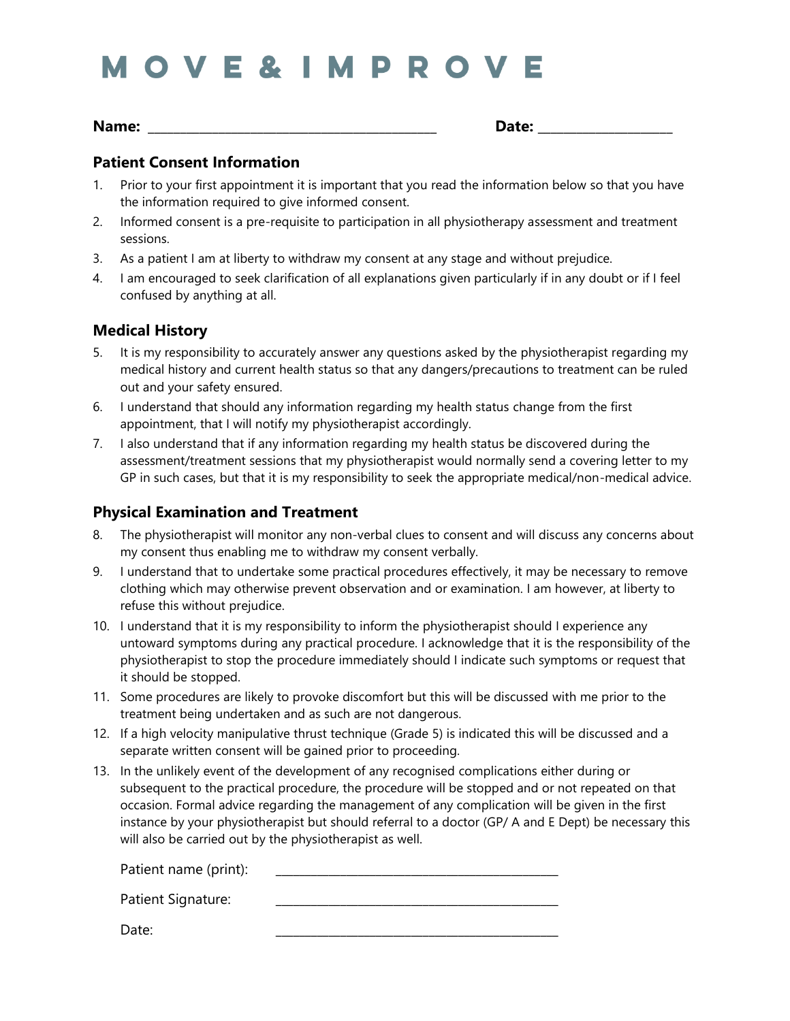# **MOVE&IMPROVE**

**Name: \_\_\_\_\_\_\_\_\_\_\_\_\_\_\_\_\_\_\_\_\_\_\_\_\_\_\_\_\_\_\_\_\_\_\_\_\_\_\_\_\_\_\_\_\_ Date: \_\_\_\_\_\_\_\_\_\_\_\_\_\_\_\_\_\_\_\_\_**

# **Patient Consent Information**

- 1. Prior to your first appointment it is important that you read the information below so that you have the information required to give informed consent.
- 2. Informed consent is a pre-requisite to participation in all physiotherapy assessment and treatment sessions.
- 3. As a patient I am at liberty to withdraw my consent at any stage and without prejudice.
- 4. I am encouraged to seek clarification of all explanations given particularly if in any doubt or if I feel confused by anything at all.

# **Medical History**

- 5. It is my responsibility to accurately answer any questions asked by the physiotherapist regarding my medical history and current health status so that any dangers/precautions to treatment can be ruled out and your safety ensured.
- 6. I understand that should any information regarding my health status change from the first appointment, that I will notify my physiotherapist accordingly.
- 7. I also understand that if any information regarding my health status be discovered during the assessment/treatment sessions that my physiotherapist would normally send a covering letter to my GP in such cases, but that it is my responsibility to seek the appropriate medical/non-medical advice.

# **Physical Examination and Treatment**

- 8. The physiotherapist will monitor any non-verbal clues to consent and will discuss any concerns about my consent thus enabling me to withdraw my consent verbally.
- 9. I understand that to undertake some practical procedures effectively, it may be necessary to remove clothing which may otherwise prevent observation and or examination. I am however, at liberty to refuse this without prejudice.
- 10. I understand that it is my responsibility to inform the physiotherapist should I experience any untoward symptoms during any practical procedure. I acknowledge that it is the responsibility of the physiotherapist to stop the procedure immediately should I indicate such symptoms or request that it should be stopped.
- 11. Some procedures are likely to provoke discomfort but this will be discussed with me prior to the treatment being undertaken and as such are not dangerous.
- 12. If a high velocity manipulative thrust technique (Grade 5) is indicated this will be discussed and a separate written consent will be gained prior to proceeding.
- 13. In the unlikely event of the development of any recognised complications either during or subsequent to the practical procedure, the procedure will be stopped and or not repeated on that occasion. Formal advice regarding the management of any complication will be given in the first instance by your physiotherapist but should referral to a doctor (GP/ A and E Dept) be necessary this will also be carried out by the physiotherapist as well.

Patient name (print): Patient Signature:

Date: \_\_\_\_\_\_\_\_\_\_\_\_\_\_\_\_\_\_\_\_\_\_\_\_\_\_\_\_\_\_\_\_\_\_\_\_\_\_\_\_\_\_\_\_\_\_\_\_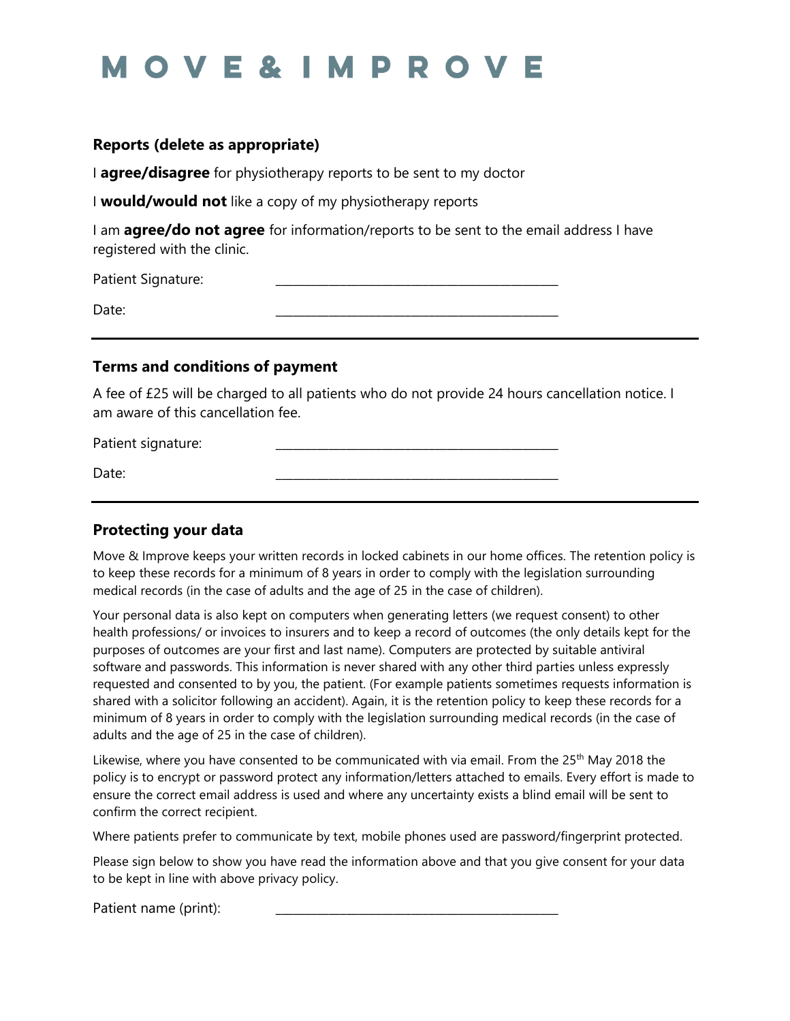# **MOVE&IMPROVE**

#### **Reports (delete as appropriate)**

I **agree/disagree** for physiotherapy reports to be sent to my doctor

I **would/would not** like a copy of my physiotherapy reports

I am **agree/do not agree** for information/reports to be sent to the email address I have registered with the clinic.

Patient Signature: Date: \_\_\_\_\_\_\_\_\_\_\_\_\_\_\_\_\_\_\_\_\_\_\_\_\_\_\_\_\_\_\_\_\_\_\_\_\_\_\_\_\_\_\_\_\_\_\_\_

#### **Terms and conditions of payment**

A fee of £25 will be charged to all patients who do not provide 24 hours cancellation notice. I am aware of this cancellation fee.

Patient signature:

Date: \_\_\_\_\_\_\_\_\_\_\_\_\_\_\_\_\_\_\_\_\_\_\_\_\_\_\_\_\_\_\_\_\_\_\_\_\_\_\_\_\_\_\_\_\_\_\_\_

# **Protecting your data**

Move & Improve keeps your written records in locked cabinets in our home offices. The retention policy is to keep these records for a minimum of 8 years in order to comply with the legislation surrounding medical records (in the case of adults and the age of 25 in the case of children).

Your personal data is also kept on computers when generating letters (we request consent) to other health professions/ or invoices to insurers and to keep a record of outcomes (the only details kept for the purposes of outcomes are your first and last name). Computers are protected by suitable antiviral software and passwords. This information is never shared with any other third parties unless expressly requested and consented to by you, the patient. (For example patients sometimes requests information is shared with a solicitor following an accident). Again, it is the retention policy to keep these records for a minimum of 8 years in order to comply with the legislation surrounding medical records (in the case of adults and the age of 25 in the case of children).

Likewise, where you have consented to be communicated with via email. From the 25<sup>th</sup> May 2018 the policy is to encrypt or password protect any information/letters attached to emails. Every effort is made to ensure the correct email address is used and where any uncertainty exists a blind email will be sent to confirm the correct recipient.

Where patients prefer to communicate by text, mobile phones used are password/fingerprint protected.

Please sign below to show you have read the information above and that you give consent for your data to be kept in line with above privacy policy.

Patient name (print):